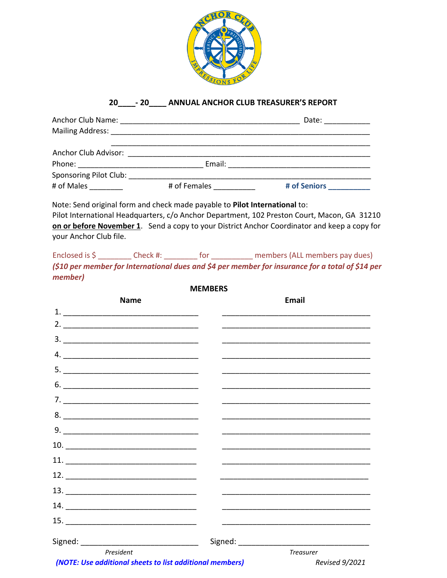

## 20 \_\_\_\_\_- 20 \_\_\_\_\_ ANNUAL ANCHOR CLUB TREASURER'S REPORT

|                                           |              | Date: $\qquad \qquad \qquad$    |
|-------------------------------------------|--------------|---------------------------------|
|                                           |              |                                 |
| Anchor Club Advisor: National Anchor Club |              |                                 |
|                                           |              |                                 |
| Sponsoring Pilot Club:                    |              |                                 |
| # of Males                                | # of Females | # of Seniors <b>All Accords</b> |

Note: Send original form and check made payable to Pilot International to: Pilot International Headquarters, c/o Anchor Department, 102 Preston Court, Macon, GA 31210 on or before November 1. Send a copy to your District Anchor Coordinator and keep a copy for your Anchor Club file.

Enclosed is \$ \_\_\_\_\_\_\_\_\_\_ Check #: \_\_\_\_\_\_\_\_ for \_\_\_\_\_\_\_\_\_\_ members (ALL members pay dues) (\$10 per member for International dues and \$4 per member for insurance for a total of \$14 per member)

**MEMBERS** 

| <b>Name</b>                                                              |  | Email                 |
|--------------------------------------------------------------------------|--|-----------------------|
|                                                                          |  |                       |
|                                                                          |  |                       |
|                                                                          |  |                       |
|                                                                          |  |                       |
|                                                                          |  |                       |
| $\begin{array}{c}\n6. \quad \textcolor{blue}{\textbf{5.2}}\n\end{array}$ |  |                       |
|                                                                          |  |                       |
|                                                                          |  |                       |
| $9. \qquad \qquad \overbrace{\qquad \qquad }$                            |  |                       |
|                                                                          |  |                       |
|                                                                          |  |                       |
|                                                                          |  |                       |
|                                                                          |  |                       |
|                                                                          |  |                       |
|                                                                          |  |                       |
|                                                                          |  |                       |
| President                                                                |  | <b>Treasurer</b>      |
| (NOTE: Use additional sheets to list additional members)                 |  | <b>Revised 9/2021</b> |